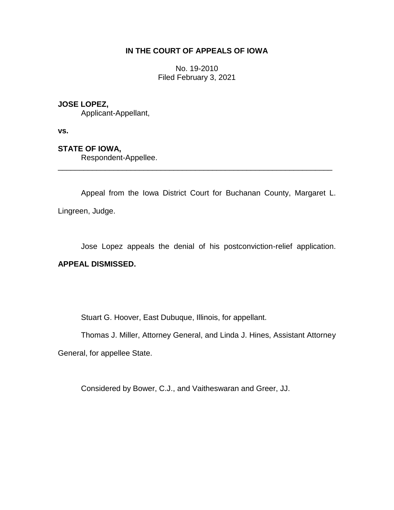# **IN THE COURT OF APPEALS OF IOWA**

No. 19-2010 Filed February 3, 2021

### **JOSE LOPEZ,**

Applicant-Appellant,

**vs.**

## **STATE OF IOWA,**

Respondent-Appellee.

Appeal from the Iowa District Court for Buchanan County, Margaret L. Lingreen, Judge.

\_\_\_\_\_\_\_\_\_\_\_\_\_\_\_\_\_\_\_\_\_\_\_\_\_\_\_\_\_\_\_\_\_\_\_\_\_\_\_\_\_\_\_\_\_\_\_\_\_\_\_\_\_\_\_\_\_\_\_\_\_\_\_\_

Jose Lopez appeals the denial of his postconviction-relief application.

### **APPEAL DISMISSED.**

Stuart G. Hoover, East Dubuque, Illinois, for appellant.

Thomas J. Miller, Attorney General, and Linda J. Hines, Assistant Attorney

General, for appellee State.

Considered by Bower, C.J., and Vaitheswaran and Greer, JJ.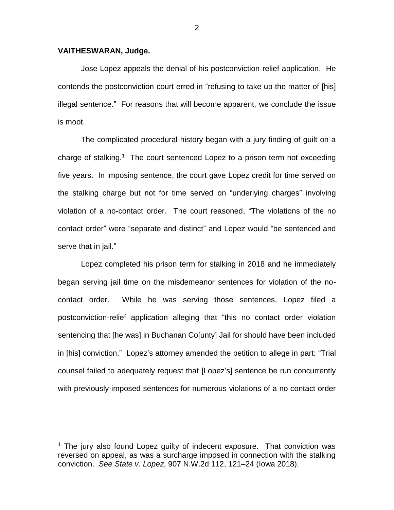#### **VAITHESWARAN, Judge.**

 $\overline{a}$ 

Jose Lopez appeals the denial of his postconviction-relief application. He contends the postconviction court erred in "refusing to take up the matter of [his] illegal sentence." For reasons that will become apparent, we conclude the issue is moot.

The complicated procedural history began with a jury finding of guilt on a charge of stalking.<sup>1</sup> The court sentenced Lopez to a prison term not exceeding five years. In imposing sentence, the court gave Lopez credit for time served on the stalking charge but not for time served on "underlying charges" involving violation of a no-contact order. The court reasoned, "The violations of the no contact order" were "separate and distinct" and Lopez would "be sentenced and serve that in jail."

Lopez completed his prison term for stalking in 2018 and he immediately began serving jail time on the misdemeanor sentences for violation of the nocontact order. While he was serving those sentences, Lopez filed a postconviction-relief application alleging that "this no contact order violation sentencing that [he was] in Buchanan Co[unty] Jail for should have been included in [his] conviction." Lopez's attorney amended the petition to allege in part: "Trial counsel failed to adequately request that [Lopez's] sentence be run concurrently with previously-imposed sentences for numerous violations of a no contact order

 $1$  The jury also found Lopez guilty of indecent exposure. That conviction was reversed on appeal, as was a surcharge imposed in connection with the stalking conviction. *See State v*. *Lopez*, 907 N.W.2d 112, 121–24 (Iowa 2018).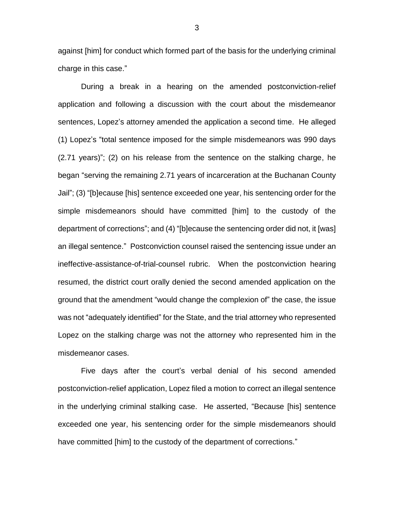against [him] for conduct which formed part of the basis for the underlying criminal charge in this case."

During a break in a hearing on the amended postconviction-relief application and following a discussion with the court about the misdemeanor sentences, Lopez's attorney amended the application a second time. He alleged (1) Lopez's "total sentence imposed for the simple misdemeanors was 990 days (2.71 years)"; (2) on his release from the sentence on the stalking charge, he began "serving the remaining 2.71 years of incarceration at the Buchanan County Jail"; (3) "[b]ecause [his] sentence exceeded one year, his sentencing order for the simple misdemeanors should have committed [him] to the custody of the department of corrections"; and (4) "[b]ecause the sentencing order did not, it [was] an illegal sentence." Postconviction counsel raised the sentencing issue under an ineffective-assistance-of-trial-counsel rubric. When the postconviction hearing resumed, the district court orally denied the second amended application on the ground that the amendment "would change the complexion of" the case, the issue was not "adequately identified" for the State, and the trial attorney who represented Lopez on the stalking charge was not the attorney who represented him in the misdemeanor cases.

Five days after the court's verbal denial of his second amended postconviction-relief application, Lopez filed a motion to correct an illegal sentence in the underlying criminal stalking case. He asserted, "Because [his] sentence exceeded one year, his sentencing order for the simple misdemeanors should have committed [him] to the custody of the department of corrections."

3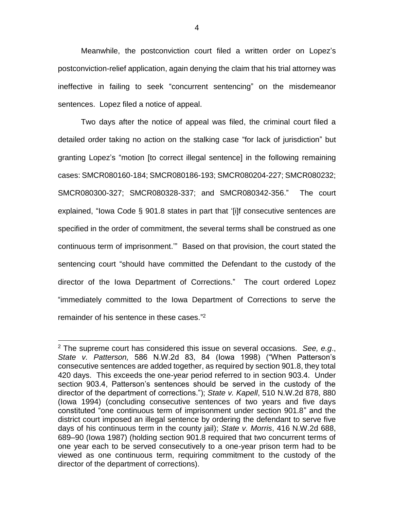Meanwhile, the postconviction court filed a written order on Lopez's postconviction-relief application, again denying the claim that his trial attorney was ineffective in failing to seek "concurrent sentencing" on the misdemeanor sentences. Lopez filed a notice of appeal.

Two days after the notice of appeal was filed, the criminal court filed a detailed order taking no action on the stalking case "for lack of jurisdiction" but granting Lopez's "motion [to correct illegal sentence] in the following remaining cases: SMCR080160-184; SMCR080186-193; SMCR080204-227; SMCR080232; SMCR080300-327; SMCR080328-337; and SMCR080342-356." The court explained, "Iowa Code § 901.8 states in part that '[i]f consecutive sentences are specified in the order of commitment, the several terms shall be construed as one continuous term of imprisonment.'" Based on that provision, the court stated the sentencing court "should have committed the Defendant to the custody of the director of the Iowa Department of Corrections." The court ordered Lopez "immediately committed to the Iowa Department of Corrections to serve the remainder of his sentence in these cases." 2

 $\overline{a}$ 

<sup>2</sup> The supreme court has considered this issue on several occasions. *See, e.g*., *State v. Patterson,* 586 N.W.2d 83, 84 (Iowa 1998) ("When Patterson's consecutive sentences are added together, as required by section 901.8, they total 420 days. This exceeds the one-year period referred to in section 903.4. Under section 903.4, Patterson's sentences should be served in the custody of the director of the department of corrections."); *State v. Kapell*, 510 N.W.2d 878, 880 (Iowa 1994) (concluding consecutive sentences of two years and five days constituted "one continuous term of imprisonment under section 901.8" and the district court imposed an illegal sentence by ordering the defendant to serve five days of his continuous term in the county jail); *State v. Morris*, 416 N.W.2d 688, 689–90 (Iowa 1987) (holding section 901.8 required that two concurrent terms of one year each to be served consecutively to a one-year prison term had to be viewed as one continuous term, requiring commitment to the custody of the director of the department of corrections).